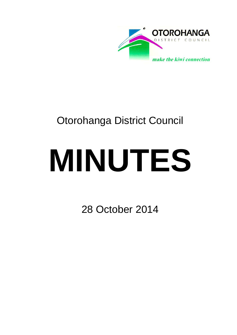

# Otorohanga District Council

# **MINUTES**

28 October 2014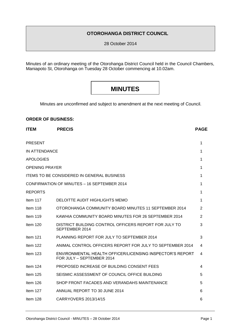### **OTOROHANGA DISTRICT COUNCIL**

28 October 2014

Minutes of an ordinary meeting of the Otorohanga District Council held in the Council Chambers, Maniapoto St, Otorohanga on Tuesday 28 October commencing at 10.02am.

# **MINUTES**

Minutes are unconfirmed and subject to amendment at the next meeting of Council.

#### **ORDER OF BUSINESS:**

| <b>ITEM</b>                                       | <b>PRECIS</b>                                                                          | <b>PAGE</b> |  |  |
|---------------------------------------------------|----------------------------------------------------------------------------------------|-------------|--|--|
| <b>PRESENT</b>                                    |                                                                                        | 1           |  |  |
| IN ATTENDANCE                                     |                                                                                        | 1           |  |  |
| <b>APOLOGIES</b>                                  |                                                                                        | 1           |  |  |
| <b>OPENING PRAYER</b>                             |                                                                                        | 1           |  |  |
| <b>ITEMS TO BE CONSIDERED IN GENERAL BUSINESS</b> |                                                                                        |             |  |  |
| CONFIRMATION OF MINUTES - 16 SEPTEMBER 2014       |                                                                                        |             |  |  |
| <b>REPORTS</b>                                    |                                                                                        | 1           |  |  |
| Item 117                                          | DELOITTE AUDIT HIGHLIGHTS MEMO                                                         | 1           |  |  |
| Item 118                                          | OTOROHANGA COMMUNITY BOARD MINUTES 11 SEPTEMBER 2014                                   | 2           |  |  |
| Item $119$                                        | KAWHIA COMMUNITY BOARD MINUTES FOR 26 SEPTEMBER 2014                                   | 2           |  |  |
| Item 120                                          | DISTRICT BUILDING CONTROL OFFICERS REPORT FOR JULY TO<br>SEPTEMBER 2014                | 3           |  |  |
| Item 121                                          | PLANNING REPORT FOR JULY TO SEPTEMBER 2014                                             | 3           |  |  |
| Item 122                                          | ANIMAL CONTROL OFFICERS REPORT FOR JULY TO SEPTEMBER 2014                              | 4           |  |  |
| Item 123                                          | ENVIRONMENTAL HEALTH OFFICER/LICENSING INSPECTOR'S REPORT<br>FOR JULY - SEPTEMBER 2014 | 4           |  |  |
| Item $124$                                        | PROPOSED INCREASE OF BUILDING CONSENT FEES                                             | 4           |  |  |
| Item 125                                          | SEISMIC ASSESSMENT OF COUNCIL OFFICE BUILDING                                          | 5           |  |  |
| Item $126$                                        | SHOP FRONT FACADES AND VERANDAHS MAINTENANCE                                           | 5           |  |  |
| Item 127                                          | ANNUAL REPORT TO 30 JUNE 2014                                                          | 6           |  |  |
| Item 128                                          | CARRYOVERS 2013/14/15                                                                  | 6           |  |  |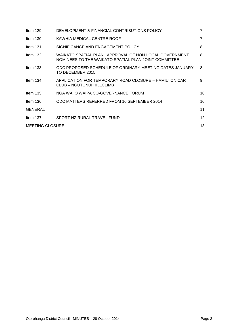| Item $129$             | DEVELOPMENT & FINANCIAL CONTRIBUTIONS POLICY                                                                   | 7  |
|------------------------|----------------------------------------------------------------------------------------------------------------|----|
| Item $130$             | KAWHIA MEDICAL CENTRE ROOF                                                                                     | 7  |
| Item $131$             | SIGNIFICANCE AND ENGAGEMENT POLICY                                                                             | 8  |
| Item $132$             | WAIKATO SPATIAL PLAN: APPROVAL OF NON-LOCAL GOVERNMENT<br>NOMINEES TO THE WAIKATO SPATIAL PLAN JOINT COMMITTEE | 8  |
| Item $133$             | ODC PROPOSED SCHEDULE OF ORDINARY MEETING DATES JANUARY<br>TO DECEMBER 2015                                    | 8  |
| Item $134$             | APPLICATION FOR TEMPORARY ROAD CLOSURE - HAMILTON CAR<br>CLUB - NGUTUNUI HILLCLIMB                             | 9  |
| Item $135$             | NGA WAI O WAIPA CO-GOVERNANCE FORUM                                                                            | 10 |
| Item $136$             | ODC MATTERS REFERRED FROM 16 SEPTEMBER 2014                                                                    | 10 |
| <b>GENERAL</b>         |                                                                                                                | 11 |
| Item 137               | SPORT NZ RURAL TRAVEL FUND                                                                                     | 12 |
| <b>MEETING CLOSURE</b> |                                                                                                                |    |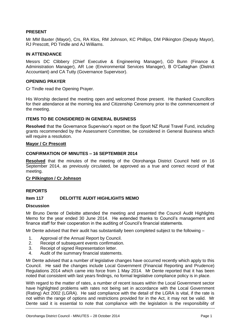#### **PRESENT**

Mr MM Baxter (Mayor), Crs, RA Klos, RM Johnson, KC Phillips, DM Pilkington (Deputy Mayor), RJ Prescott, PD Tindle and AJ Williams.

#### **IN ATTENDANCE**

Messrs DC Clibbery (Chief Executive & Engineering Manager), GD Bunn (Finance & Administration Manager), AR Loe (Environmental Services Manager), B O'Callaghan (District Accountant) and CA Tutty (Governance Supervisor).

#### **OPENING PRAYER**

Cr Tindle read the Opening Prayer.

His Worship declared the meeting open and welcomed those present. He thanked Councillors for their attendance at the morning tea and Citizenship Ceremony prior to the commencement of the meeting.

#### **ITEMS TO BE CONSIDERED IN GENERAL BUSINESS**

**Resolved** that the Governance Supervisor's report on the Sport NZ Rural Travel Fund, including grants recommended by the Assessment Committee, be considered in General Business which will require a resolution.

#### **Mayor / Cr Prescott**

#### **CONFIRMATION OF MINUTES – 16 SEPTEMBER 2014**

**Resolved** that the minutes of the meeting of the Otorohanga District Council held on 16 September 2014, as previously circulated, be approved as a true and correct record of that meeting.

#### **Cr Pilkington / Cr Johnson**

#### **REPORTS**

#### **Item 117 DELOITTE AUDIT HIGHLIGHTS MEMO**

#### **Discussion**

Mr Bruno Dente of Deloitte attended the meeting and presented the Council Audit Highlights Memo for the year ended 30 June 2014. He extended thanks to Council's management and finance staff for their cooperation in the auditing of Council's financial statements.

Mr Dente advised that their audit has substantially been completed subject to the following –

- 1. Approval of the Annual Report by Council.<br>2. Receint of subsequent events confirmation
- Receipt of subsequent events confirmation.
- 3. Receipt of signed Representation letter.
- 4. Audit of the summary financial statements.

Mr Dente advised that a number of legislative changes have occurred recently which apply to this Council. He said the changes include Local Government (Financial Reporting and Prudence) Regulations 2014 which came into force from 1 May 2014. Mr Dente reported that it has been noted that consistent with last years findings, no formal legislative compliance policy is in place.

With regard to the matter of rates, a number of recent issues within the Local Government sector have highlighted problems with rates not being set in accordance with the Local Government (Rating) Act 2002 (LGRA). He said compliance with the detail of the LGRA is vital, if the rate is not within the range of options and restrictions provided for in the Act, it may not be valid. Mr Dente said it is essential to note that compliance with the legislation is the responsibility of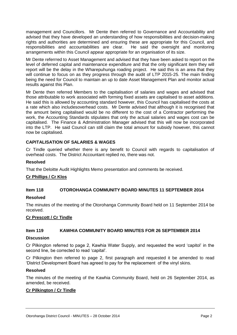management and Councillors. Mr Dente then referred to Governance and Accountability and advised that they have developed an understanding of how responsibilities and decision-making rights and authorities are determined and ensuring these are appropriate for this Council, and responsibilities and accountabilities are clear. He said the oversight and monitoring arrangements within this Council appear appropriate for an organisation of its size.

Mr Dente referrred to Asset Management and advised that they have been asked to report on the level of deferred capital and maintenance expenditure and that the only significant item they will report will be the delay in the Wharepuhunga roading project. He said this is an area that they will continue to focus on as they progress through the audit of LTP 2015-25. The main finding being the need for Council to maintain an up to date Asset Management Plan and monitor actual results against this Plan.

Mr Dente then referred Members to the capitalisation of salaries and wages and advised that those attributable to work associated with forming fixed assets are capitalised to asset additions. He said this is allowed by accounting standard however, this Council has capitalised the costs at a rate which also includesoverhead costs. Mr Dente advised that although it is recognised that the amount being capitalised would be no different to the cost of a Contractor performing the work, the Accounting Standards stipulates that only the actual salaries and wages cost can be capitalised. The Finance & Administration Manager advised that this will now be incorporated into the LTP. He said Council can still claim the total amount for subsidy however, this cannot now be capitalised.

#### **CAPITALISATION OF SALARIES & WAGES**

Cr Tindle queried whether there is any benefit to Council with regards to capitalisation of overhead costs. The District Accountant replied no, there was not.

#### **Resolved**

That the Deloitte Audit Highlights Memo presentation and comments be received.

#### **Cr Phillips / Cr Klos**

#### **Item 118 OTOROHANGA COMMUNITY BOARD MINUTES 11 SEPTEMBER 2014**

#### **Resolved**

The minutes of the meeting of the Otorohanga Community Board held on 11 September 2014 be received.

#### **Cr Prescott / Cr Tindle**

#### **Item 119 KAWHIA COMMUNITY BOARD MINUTES FOR 26 SEPTEMBER 2014**

#### **Discussion**

Cr Pilkington referred to page 2, Kawhia Water Supply, and requested the word 'capitol' in the second line, be corrected to read 'capital'.

Cr Pilkington then referred to page 2, first paragraph and requested it be amended to read 'District Development Board has agreed to pay for the replacement of the vinyl skins.

#### **Resolved**

The minutes of the meeting of the Kawhia Community Board, held on 26 September 2014, as amended, be received.

#### **Cr Pilkington / Cr Tindle**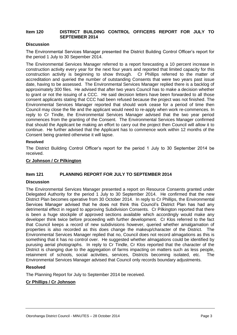#### **Item 120 DISTRICT BUILDING CONTROL OFFICERS REPORT FOR JULY TO SEPTEMBER 2014**

#### **Discussion**

The Environmental Services Manager presented the District Building Control Officer's report for the period 1 July to 30 Sepember 2014.

The Environmental Services Manager referred to a report forecasting a 10 percent increase in construction activity every year for the next four years and reported that limited capacity for this construction activity is beginning to show through. Cr Phillips referred to the matter of accreditation and queried the number of outstanding Consents that were two years past issue date, having to be assessed. The Environmental Services Manager replied there is a backlog of approximately 300 files. He advised that after two years Council has to make a decision whether to grant or not the issuing of a CCC. He said decision letters have been forwarded to all those consent applicants stating that CCC had been refused because the project was not finished. The Environmental Services Manager reported that should work cease for a period of time then Council may close the file and the applicant would need to re-apply when work re-commences. In reply to Cr Tindle, the Environmental Services Manager advised that the two year period commences from the granting of the Consent. The Environmental Services Manager confirmed that should the Applicant be making an effort to carry out the project then Council will allow it to continue. He further advised that the Applicant has to commence work within 12 months of the Consent being granted otherwise it will lapse.

#### **Resolved**

The District Building Control Officer's report for the period 1 July to 30 September 2014 be received.

#### **Cr Johnson / Cr Pilkington**

#### **Item 121 PLANNING REPORT FOR JULY TO SEPTEMBER 2014**

#### **Discussion**

The Environmental Services Manager presented a report on Resource Consents granted under Delegated Authority for the period 1 July to 30 September 2014. He confirmed that the new District Plan becomes operative from 30 October 2014. In reply to Cr Phillips, the Environmental Services Manager advised that he does not think this Council's District Plan has had any detrimental effect in regard to approving Subdivision Consents. Cr Pilkington reported that there is been a huge stockpile of approved sections available which accordingly would make any developer think twice before proceeding with further development. Cr Klos referred to the fact that Council keeps a record of new subdivisions however, queried whether amalgamation of properties is also recorded as this does change the makeup/character of the District. The Environmental Services Manager replied that no, Council does not record almagations as this is something that it has no control over. He suggested whether almagations could be identified by purusing aerial photographs. In reply to Cr Tindle, Cr Klos reported that the character of the District is changing due to the aggregation of farms impacting on matters such as less people, retainment of schools, social activities, services, Districts becoming isolated, etc. The Environmental Services Manager advised that Council only records boundary adjustments.

#### **Resolved**

The Planning Report for July to September 2014 be received.

#### **Cr Phillips / Cr Johnson**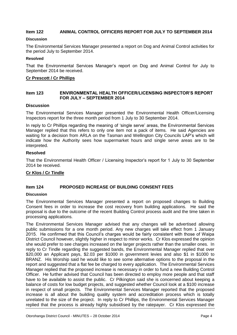#### **Item 122 ANIMAL CONTROL OFFICERS REPORT FOR JULY TO SEPTEMBER 2014**

#### **Discussion**

The Environmental Services Manager presented a report on Dog and Animal Control activities for the period July to September 2014.

#### **Resolved**

That the Environmental Services Manager's report on Dog and Animal Control for July to September 2014 be received.

#### **Cr Prescott / Cr Phillips**

#### **Item 123 ENVIRONMENTAL HEALTH OFFICER/LICENSING INSPECTOR'S REPORT FOR JULY – SEPTEMBER 2014**

#### **Discussion**

The Environmental Services Manager presented the Environmental Health Officer/Licensing Inspectors report for the three month period from 1 July to 30 September 2014.

In reply to Cr Phillips regarding the meaning of 'single serve' areas, the Environmental Services Manager replied that this refers to only one item not a pack of items. He said Agencies are waiting for a decision from ARLA on the Tasman and Wellington City Councils LAP's which will indicate how the Authority sees how supermarket hours and single serve areas are to be interpreted.

#### **Resolved**

That the Environmental Health Officer / Licensing Inspector's report for 1 July to 30 September 2014 be received.

#### **Cr Klos / Cr Tindle**

#### **Item 124 PROPOSED INCREASE OF BUILDING CONSENT FEES**

#### **Discussion**

The Environmental Services Manager presented a report on proposed changes to Building Consent fees in order to increase the cost recovery from building applications. He said the proposal is due to the outcome of the recent Building Control process audit and the time taken in processing applications.

The Environmental Services Manager advised that any changes will be advertised allowing public submissions for a one month period. Any new charges will take effect from 1 January 2015. He confirmed that this Council's charges would be fairly consistent with those of Waipa District Council however, slightly higher in respect to minor works. Cr Klos expressed the opinion she would prefer to see charges increased on the larger projects rather than the smaller ones. In reply to Cr Tindle regarding the suggested bands, the Environmental Manager replied that over \$20,000 an Applicant pays, \$2.03 per \$1000 in government levies and also \$1 in \$1000 to BRANZ. His Worship said he would like to see some alternative options to the proposal in the report and suggested that a flat fee be charged to every application. The Environmental Services Manager replied that the proposed increase is necessary in order to fund a new Building Control Officer. He further advised that Council has been directed to employ more people and that staff have to be available to assist the public. Cr Pilkington said she is concerned about keeping a balance of costs for low budget projects, and suggested whether Council look at a \$100 increase in respect of small projects. The Environmental Services Manager reported that the proposed increase is all about the building quality system and accreditation process which is totally unrelated to the size of the project. In reply to Cr Phillips, the Environmental Services Manager replied that the process is already highly subsidised by the ratepayer. Cr Klos expressed the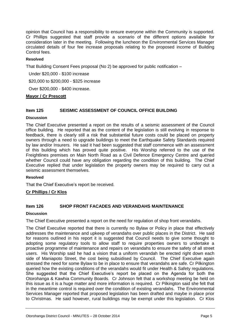opinion that Council has a responsibility to ensure everyone within the Community is supported. Cr Phillips suggested that staff provide a scenario of the different options available for consideration later in the meeting. Following the luncheon the Environmental Services Manager circulated details of four fee increase proposals relating to the proposed income of Building Control fees.

#### **Resolved**

That Building Consent Fees proposal (No 2) be approved for public notification –

Under \$20,000 - \$100 increase

\$20,000 to \$200,000 - \$325 increase

Over \$200,000 - \$400 increase.

#### **Mayor / Cr Prescott**

#### **Item 125 SEISMIC ASSESSMENT OF COUNCIL OFFICE BUILDING**

#### **Discussion**

The Chief Executive presented a report on the results of a seismic assessment of the Council office building. He reported that as the content of the legislation is still evolving in response to feedback, there is clearly still a risk that substantial future costs could be placed on property owners through a need to upgrade buildings to meet the Earthquake Safety Standards required by law and/or Insurers. He said it had been suggested that staff commence with an assessment of this building which has proved quite positive. His Worship referred to the use of the Freightlines premises on Main North Road as a Civil Defence Emergency Centre and queried whether Council could have any obligation regarding the condition of this building. The Chief Executive replied that under legislation the property owners may be required to carry out a seismic assessment themselves.

#### **Resolved**

That the Chief Executive's report be received.

#### **Cr Phillips / Cr Klos**

#### **Item 126 SHOP FRONT FACADES AND VERANDAHS MAINTENANCE**

#### **Discussion**

The Chief Executive presented a report on the need for regulation of shop front verandahs.

The Chief Executive reported that there is currently no Bylaw or Policy in place that effectively addresses the maintenance and upkeep of verandahs over public places in the District. He said for reasons outlined in his report it is suggested that Council needs to give some thought to adopting some regulatory tools to allow staff to require properties owners to undertake a proactive programme of maintenance and repairs on verandahs to ensure the safety of all street users. His Worship said he had a vision that a uniform verandah be erected right down each side of Maniapoto Street, the cost being subsidised by Council. The Chief Executive again stressed the need for some Bylaw to be in place to ensure that verandahs are safe. Cr Pilkington queried how the existing conditions of the verandahs would fit under Health & Safety regulations. She suggested that the Chief Executive's report be placed on the Agenda for both the Otorohanga & Kawhia Community Boards. Cr Johnson felt that a workshop meeting be held on this issue as it is a huge matter and more information is required. Cr Pilkington said she felt that in the meantime control is required over the condition of existing verandahs. The Environmental Services Manager reported that proposed legislation has been drafted and maybe in place prior to Christmas. He said however, rural buildings may be exempt under this legislation. Cr Klos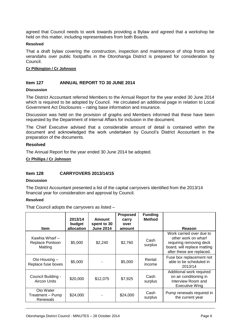agreed that Council needs to work towards providing a Bylaw and agreed that a workshop be held on this matter, including representatives from both Boards.

#### **Resolved**

That a draft bylaw covering the construction, inspection and maintenance of shop fronts and verandahs over public footpaths in the Otorohanga District is prepared for consideration by Council.

#### **Cr Pilkington / Cr Johnson**

#### **Item 127 ANNUAL REPORT TO 30 JUNE 2014**

#### **Discussion**

The District Accountant referred Members to the Annual Report for the year ended 30 June 2014 which is required to be adopted by Council. He circulated an additional page in relation to Local Government Act Disclosures – rating base information and insurance.

Discussion was held on the provision of graphs and Members informed that these have been requested by the Department of Internal Affairs for inclusion in the document.

The Chief Executive advised that a considerable amount of detail is contained within the document and acknowledged the work undertaken by Council's District Accountant in the preparation of the documents.

#### **Resolved**

The Annual Report for the year ended 30 June 2014 be adopted.

#### **Cr Phillips / Cr Johnson**

#### **Item 128 CARRYOVERS 2013/14/15**

#### **Discussion**

The District Accountant presented a list of the capital carryovers identified from the 2013/14 financial year for consideration and approval by Council.

#### **Resolved**

That Council adopts the carryovers as listed –

|                                              | 2013/14<br>budget | <b>Amount</b><br>spent to 30 | <b>Proposed</b><br>carry<br>over | <b>Funding</b><br><b>Method</b> |                                                                                                                                        |
|----------------------------------------------|-------------------|------------------------------|----------------------------------|---------------------------------|----------------------------------------------------------------------------------------------------------------------------------------|
| <b>Item</b>                                  | allocation        | <b>June 2014</b>             | amount                           |                                 | Reason                                                                                                                                 |
| Kawhia Wharf -<br>Replace Pontoon<br>Matting | \$5,000           | \$2,240                      | \$2,760                          | Cash<br>surplus                 | Work carried over due to<br>other work on wharf<br>requiring removing deck<br>board, will replace matting<br>after these are replaced. |
| Oto Housing -<br>Replace fuse boxes          | \$5,000           |                              | \$5,000                          | Rental<br>income                | Fuse box replacement not<br>able to be scheduled in<br>2013/14                                                                         |
| Council Building -<br>Aircon Units           | \$20,000          | \$12,075                     | \$7,925                          | Cash<br>surplus                 | Additional work required<br>on air conditioning in<br>Interview Room and<br>Executive Wing                                             |
| Oto Water<br>Treatment – Pump<br>Renewals    | \$24,000          |                              | \$24,000                         | Cash<br>surplus                 | Pump renewals required in<br>the current year                                                                                          |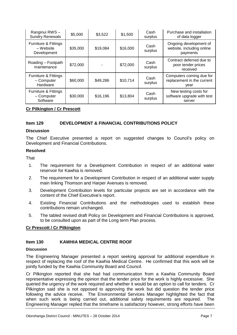| Ranginui RWS-<br><b>Sundry Renewals</b>                   | \$5,000  | \$3,522  | \$1,500  | Cash<br>surplus | Purchase and installation<br>of data logger                     |
|-----------------------------------------------------------|----------|----------|----------|-----------------|-----------------------------------------------------------------|
| Furniture & Fittings<br>– Website<br>Development          | \$35,000 | \$19,084 | \$16,000 | Cash<br>surplus | Ongoing development of<br>website, including online<br>payments |
| Roading - Footpath<br>maintenance                         | \$72,000 |          | \$72,000 | Cash<br>surplus | Contract deferred due to<br>poor tender prices<br>received      |
| Furniture & Fittings<br>- Computer<br>Hardware            | \$60,000 | \$49,286 | \$10,714 | Cash<br>surplus | Computers coming due for<br>replacement in the current<br>year  |
| <b>Furniture &amp; Fittings</b><br>- Computer<br>Software | \$30,000 | \$16,196 | \$13,804 | Cash<br>surplus | New testing costs for<br>software upgrade with test<br>server   |

#### **Cr Pilkington / Cr Prescott**

#### **Item 129 DEVELOPMENT & FINANCIAL CONTRIBUTIONS POLICY**

#### **Discussion**

The Chief Executive presented a report on suggested changes to Council's policy on Development and Financial Contributions.

#### **Resolved**

**That** 

- 1. The requirement for a Development Contribution in respect of an additional water reservoir for Kawhia is removed.
- 2. The requirement for a Development Contribution in respect of an additional water supply main linking Thomson and Harper Avenues is removed.
- 3. Development Contribution levels for particular projects are set in accordance with the content of the Chief Executive's report.
- 4. Existing Financial Contributions and the methodologies used to establish these contributions remain unchanged.
- 5. The tabled revised draft Policy on Development and Financial Contributions is approved, to be consulted upon as part of the Long term Plan process.

#### **Cr Prescott / Cr Pilkington**

#### **Item 130 KAWHIA MEDICAL CENTRE ROOF**

#### **Discussion**

The Engineering Manager presented a report seeking approval for additional expenditure in respect of replacing the roof of the Kawhia Medical Centre. He confirmed that this work will be jointly funded by the Kawhia Community Board and Council.

Cr Pilkington reported that she had had communication from a Kawhia Community Board representative expressing the opinion that the tender price for the work is highly excessive. She queried the urgency of the work required and whether it would be an option to call for tenders. Cr Pilkington said she is not opposed to approving the work but did question the tender price following the advice receive. The Environmental Services Manager highlighted the fact that when such work is being carried out, additional safety requirements are required. The Engineering Manager replied that the timeframe is satisfactory however, strong efforts have been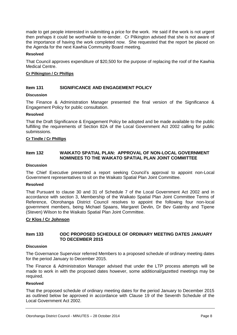made to get people interested in submitting a price for the work. He said if the work is not urgent then prehaps it could be worthwhile to re-tender. Cr Pilkington advised that she is not aware of the importance of having the work completed now. She requested that the report be placed on the Agenda for the next Kawhia Community Board meeting.

#### **Resolved**

That Council approves expenditure of \$20,500 for the purpose of replacing the roof of the Kawhia Medical Centre.

#### **Cr Pilkington / Cr Phillips**

#### **Item 131 SIGNIFICANCE AND ENGAGEMENT POLICY**

#### **Discussion**

The Finance & Administration Manager presented the final version of the Significance & Engagement Policy for public consultation.

#### **Resolved**

That the Draft Significance & Engagement Policy be adopted and be made available to the public fulfilling the requirements of Section 82A of the Local Government Act 2002 calling for public submissions.

#### **Cr Tindle / Cr Phillips**

#### **Item 132 WAIKATO SPATIAL PLAN: APPROVAL OF NON-LOCAL GOVERNMENT NOMINEES TO THE WAIKATO SPATIAL PLAN JOINT COMMITTEE**

#### **Discussion**

The Chief Executive presented a report seeking Council's approval to appoint non-Local Government representatives to sit on the Waikato Spatial Plan Joint Committee.

#### **Resolved**

That Pursuant to clause 30 and 31 of Schedule 7 of the Local Government Act 2002 and in accordance with section 3, Membership of the Waikato Spatial Plan Joint Committee Terms of Reference, Otorohanga District Council resolves to appoint the following four non-local government members, being Michael Spaans, Margaret Devlin, Dr Bev Gatenby and Tipene (Steven) Wilson to the Waikato Spatial Plan Joint Committee.

#### **Cr Klos / Cr Johnson**

#### **Item 133 ODC PROPOSED SCHEDULE OF ORDINARY MEETING DATES JANUARY TO DECEMBER 2015**

#### **Discussion**

The Governance Supervisor referred Members to a proposed schedule of ordinary meeting dates for the period January to December 2015.

The Finance & Administration Manager advised that under the LTP process attempts will be made to work in with the proposed dates however, some additional/gazetted meetings may be required.

#### **Resolved**

That the proposed schedule of ordinary meeting dates for the period January to December 2015 as outlined below be approved in accordance with Clause 19 of the Seventh Schedule of the Local Government Act 2002.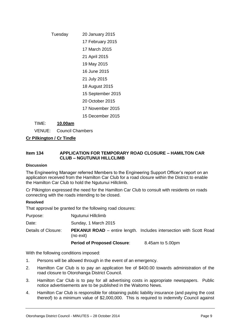## Tuesday 20 January 2015

17 February 2015

17 March 2015

- 21 April 2015
- 19 May 2015
- 16 June 2015
- 21 July 2015
- 18 August 2015
- 15 September 2015
- 20 October 2015
- 17 November 2015
- 15 December 2015

TIME: **10.00am**

VENUE: Council Chambers

**Cr Pilkington / Cr Tindle**

#### **Item 134 APPLICATION FOR TEMPORARY ROAD CLOSURE – HAMILTON CAR CLUB – NGUTUNUI HILLCLIMB**

#### **Discussion**

The Engineering Manager referred Members to the Engineering Support Officer's report on an application received from the Hamilton Car Club for a road closure within the District to enable the Hamilton Car Club to hold the Ngutunui Hillclimb.

Cr Pilkington expressed the need for the Hamilton Car Club to consult with residents on roads connecting with the roads intending to be closed.

#### **Resolved**

That approval be granted for the following road closures:

| Purpose:            | Ngutunui Hillclimb                 |                                                                            |
|---------------------|------------------------------------|----------------------------------------------------------------------------|
| Date:               | Sunday, 1 March 2015               |                                                                            |
| Details of Closure: | (no exit)                          | <b>PEKANUI ROAD</b> – entire length. Includes intersection with Scott Road |
|                     | <b>Period of Proposed Closure:</b> | 8.45am to 5.00pm                                                           |

With the following conditions imposed:

- 1. Persons will be allowed through in the event of an emergency.
- 2. Hamilton Car Club is to pay an application fee of \$400.00 towards administration of the road closure to Otorohanga District Council.
- 3. Hamilton Car Club is to pay for all advertising costs in appropriate newspapers. Public notice advertisements are to be published in the Waitomo News.
- 4. Hamilton Car Club is responsible for obtaining public liability insurance (and paying the cost thereof) to a minimum value of \$2,000,000. This is required to indemnify Council against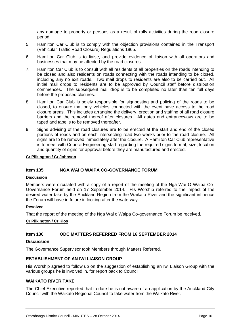any damage to property or persons as a result of rally activities during the road closure period.

- 5. Hamilton Car Club is to comply with the objection provisions contained in the Transport (Vehicular Traffic Road Closure) Regulations 1965.
- 6. Hamilton Car Club is to liaise, and provide evidence of liaison with all operators and businesses that may be affected by the road closures.
- 7. Hamilton Car Club is to consult with all residents of all properties on the roads intending to be closed and also residents on roads connecting with the roads intending to be closed, including any no exit roads. Two mail drops to residents are also to be carried out. All initial mail drops to residents are to be approved by Council staff before distribution commences. The subsequent mail drop is to be completed no later than ten full days before the proposed closures.
- 8. Hamilton Car Club is solely responsible for signposting and policing of the roads to be closed, to ensure that only vehicles connected with the event have access to the road closure areas. This includes arranging the delivery, erection and staffing of all road closure barriers and the removal thereof after closures. All gates and entranceways are to be taped and tape is to be removed thereafter.
- 9. Signs advising of the road closures are to be erected at the start and end of the closed portions of roads and on each intersecting road two weeks prior to the road closure. All signs are to be removed immediately after the closure. A Hamilton Car Club representative is to meet with Council Engineering staff regarding the required signs format, size, location and quantity of signs for approval before they are manufactured and erected.

#### **Cr Pilkington / Cr Johnson**

#### **Item 135 NGA WAI O WAIPA CO-GOVERNANCE FORUM**

#### **Discussion**

Members were circulated with a copy of a report of the meeting of the Nga Wai O Waipa Co-Governance Forum held on 17 September 2014. His Worship referred to the impact of the desired water take by the Auckland Region from the Waikato River and the significant influence the Forum will have in future in looking after the waterway.

#### **Resolved**

That the report of the meeting of the Nga Wai o Waipa Co-governance Forum be received.

#### **Cr Pilkington / Cr Klos**

#### **Item 136 ODC MATTERS REFERRED FROM 16 SEPTEMBER 2014**

#### **Discussion**

The Governance Supervisor took Members through Matters Referred.

#### **ESTABLISHMENT OF AN IWI LIAISON GROUP**

His Worship agreed to follow up on the suggestion of establishing an Iwi Liaison Group with the various groups he is involved in, for report back to Council.

#### **WAIKATO RIVER TAKE**

The Chief Executive reported that to date he is not aware of an application by the Auckland City Council with the Waikato Regional Council to take water from the Waikato River.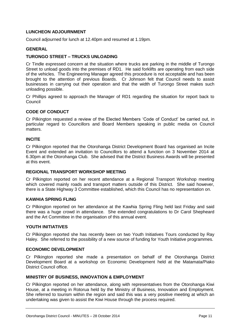#### **LUNCHEON ADJOURNMENT**

Council adjourned for lunch at 12.40pm and resumed at 1.19pm.

#### **GENERAL**

#### **TURONGO STREET – TRUCKS UNLOADING**

Cr Tindle expressed concern at the situation where trucks are parking in the middle of Turongo Street to unload goods into the premises of RD1. He said forklifts are operating from each side of the vehicles. The Engineering Manager agreed this procedure is not acceptable and has been brought to the attention of previous Boards. Cr Johnson felt that Council needs to assist businesses in carrying out their operation and that the width of Turongo Street makes such unloading possible.

Cr Phillips agreed to approach the Manager of RD1 regarding the situation for report back to **Council** 

#### **CODE OF CONDUCT**

Cr Pilkington requested a review of the Elected Members 'Code of Conduct' be carried out, in particular regard to Councillors and Board Members speaking in public media on Council matters.

#### **INCITE**

Cr Pilkington reported that the Otorohanga District Development Board has organised an Incite Event and extended an invitation to Councillors to attend a function on 3 November 2014 at 6.30pm at the Otorohanga Club. She advised that the District Business Awards will be presented at this event.

#### **REGIONAL TRANSPORT WORKSHOP MEETING**

Cr Pilkington reported on her recent attendance at a Regional Transport Workshop meeting which covered mainly roads and transport matters outside of this District. She said however, there is a State Highway 3 Committee established, which this Council has no representation on.

#### **KAWHIA SPRING FLING**

Cr Pilkington reported on her attendance at the Kawhia Spring Fling held last Friday and said there was a huge crowd in attendance. She extended congratulations to Dr Carol Shepheard and the Art Committee in the organisation of this annual event.

#### **YOUTH INITIATIVES**

Cr Pilkington reported she has recently been on two Youth Initiatives Tours conducted by Ray Haley. She referred to the possibility of a new source of funding for Youth Initiative programmes.

#### **ECONOMIC DEVELOPMENT**

Cr Pilkington reported she made a presentation on behalf of the Otorohanga District Development Board at a workshop on Economic Development held at the Matamata/Piako District Council office.

#### **MINISTRY OF BUSINESS, INNOVATION & EMPLOYMENT**

Cr Pilkington reported on her attendance, along with representatives from the Otorohanga Kiwi House, at a meeting in Rotorua held by the Ministry of Business, Innovation and Employment. She referred to tourism within the region and said this was a very positive meeting at which an undertaking was given to assist the Kiwi House through the process required.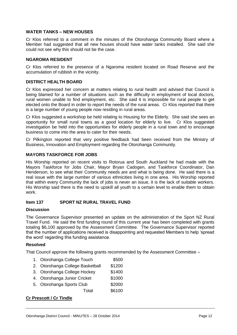#### **WATER TANKS – NEW HOUSES**

Cr Klos referred to a comment in the minutes of the Otorohanga Community Board where a Member had suggested that all new houses should have water tanks installed. She said she could not see why this should not be the case.

#### **NGAROMA RESIDENT**

Cr Klos referred to the presence of a Ngaroma resident located on Road Reserve and the accumulation of rubbish in the vicinity.

#### **DISTRICT HEALTH BOARD**

Cr Klos expressed her concern at matters relating to rural health and advised that Council is being blamed for a number of situations such as the difficulty in employment of local doctors, rural women unable to find employment, etc. She said it is impossible for rural people to get elected onto the Board in order to report the needs of the rural areas. Cr Klos reported that there is a large number of young people now residing in rural areas.

Cr Klos suggested a workshop be held relating to Housing for the Elderly. She said she sees an opportunity for small rural towns as a good location for elderly to live. Cr Klos suggested investigation be held into the opportunities for elderly people in a rural town and to encourage business to come into the area to cater for their needs.

Cr Pilkington reported that very positive feedback had been received from the Ministry of Business, Innovation and Employment regarding the Otorohanga Community.

#### **MAYORS TASKFORCE FOR JOBS**

His Worship reported on recent visits to Rotorua and South Auckland he had made with the Mayors Taskforce for Jobs Chair, Mayor Bryan Cadogen, and Taskforce Coordinator, Dan Henderson, to see what their Community needs are and what is being done. He said there is a real issue with the large number of various ethnicities living in one area. His Worship reported that within every Community the lack of jobs is never an issue, it is the lack of suitable workers. His Worship said there is the need to upskill all youth to a certain level to enable them to obtain work.

#### **Item 137 SPORT NZ RURAL TRAVEL FUND**

#### **Discussion**

The Governance Supervisor presented an update on the administration of the Sport NZ Rural Travel Fund. He said the first funding round of this current year has been completed with grants totaling \$6,100 approved by the Assessment Committee. The Governance Supervisor reported that the number of applications received is disappointing and requested Members to help 'spread the word' regarding this funding assistance.

#### **Resolved**

That Council approve the following grants recommended by the Assessment Committee –

- 1. Otorohanga College Touch \$500
- 2. Otorohanga College Basketball \$1200
- 3. Otorohanga College Hockey \$1400
- 4. Otorohanga Junior Cricket \$1000
- 5. Otorohanga Sports Club \$2000
	- Total \$6100

#### **Cr Prescott / Cr Tindle**